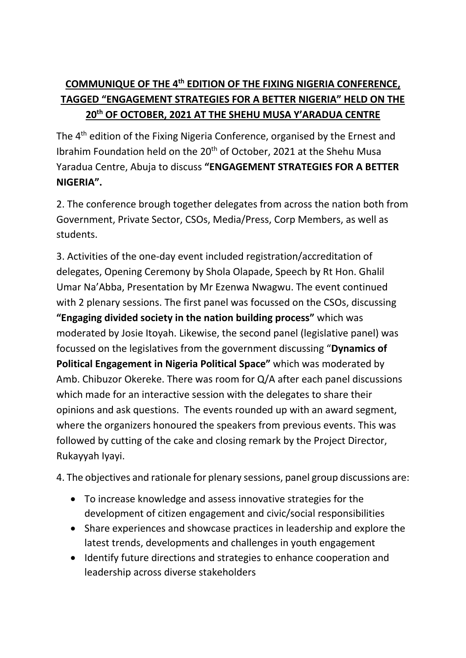## **COMMUNIQUE OF THE 4th EDITION OF THE FIXING NIGERIA CONFERENCE, TAGGED "ENGAGEMENT STRATEGIES FOR A BETTER NIGERIA" HELD ON THE 20th OF OCTOBER, 2021 AT THE SHEHU MUSA Y'ARADUA CENTRE**

The 4th edition of the Fixing Nigeria Conference, organised by the Ernest and Ibrahim Foundation held on the 20<sup>th</sup> of October, 2021 at the Shehu Musa Yaradua Centre, Abuja to discuss **"ENGAGEMENT STRATEGIES FOR A BETTER NIGERIA".**

2. The conference brough together delegates from across the nation both from Government, Private Sector, CSOs, Media/Press, Corp Members, as well as students.

3. Activities of the one-day event included registration/accreditation of delegates, Opening Ceremony by Shola Olapade, Speech by Rt Hon. Ghalil Umar Na'Abba, Presentation by Mr Ezenwa Nwagwu. The event continued with 2 plenary sessions. The first panel was focussed on the CSOs, discussing **"Engaging divided society in the nation building process"** which was moderated by Josie Itoyah. Likewise, the second panel (legislative panel) was focussed on the legislatives from the government discussing "**Dynamics of Political Engagement in Nigeria Political Space"** which was moderated by Amb. Chibuzor Okereke. There was room for Q/A after each panel discussions which made for an interactive session with the delegates to share their opinions and ask questions. The events rounded up with an award segment, where the organizers honoured the speakers from previous events. This was followed by cutting of the cake and closing remark by the Project Director, Rukayyah Iyayi.

4. The objectives and rationale for plenary sessions, panel group discussions are:

- To increase knowledge and assess innovative strategies for the development of citizen engagement and civic/social responsibilities
- Share experiences and showcase practices in leadership and explore the latest trends, developments and challenges in youth engagement
- Identify future directions and strategies to enhance cooperation and leadership across diverse stakeholders